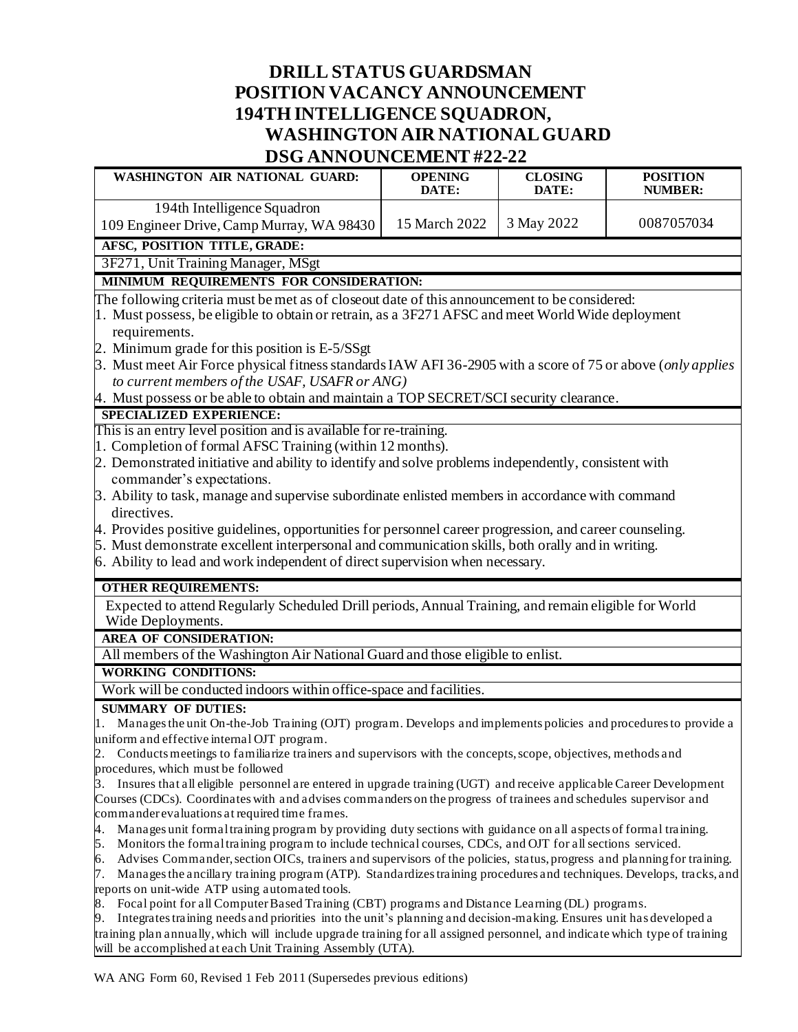## **DRILL STATUS GUARDSMAN POSITION VACANCY ANNOUNCEMENT 194TH INTELLIGENCE SQUADRON, WASHINGTON AIR NATIONALGUARD DSG ANNOUNCEMENT #22-22**

| WASHINGTON AIR NATIONAL GUARD:                                                                                                                                                                                                                     | <b>OPENING</b><br>DATE: | <b>CLOSING</b><br>DATE: | <b>POSITION</b><br><b>NUMBER:</b> |
|----------------------------------------------------------------------------------------------------------------------------------------------------------------------------------------------------------------------------------------------------|-------------------------|-------------------------|-----------------------------------|
| 194th Intelligence Squadron                                                                                                                                                                                                                        |                         |                         |                                   |
| 109 Engineer Drive, Camp Murray, WA 98430                                                                                                                                                                                                          | 15 March 2022           | 3 May 2022              | 0087057034                        |
| AFSC, POSITION TITLE, GRADE:                                                                                                                                                                                                                       |                         |                         |                                   |
| 3F271, Unit Training Manager, MSgt                                                                                                                                                                                                                 |                         |                         |                                   |
| MINIMUM REQUIREMENTS FOR CONSIDERATION:                                                                                                                                                                                                            |                         |                         |                                   |
| The following criteria must be met as of closeout date of this announcement to be considered:                                                                                                                                                      |                         |                         |                                   |
| 1. Must possess, be eligible to obtain or retrain, as a 3F271 AFSC and meet World Wide deployment                                                                                                                                                  |                         |                         |                                   |
| requirements.                                                                                                                                                                                                                                      |                         |                         |                                   |
| 2. Minimum grade for this position is E-5/SSgt                                                                                                                                                                                                     |                         |                         |                                   |
| 3. Must meet Air Force physical fitness standards IAW AFI 36-2905 with a score of 75 or above (only applies                                                                                                                                        |                         |                         |                                   |
| to current members of the USAF, USAFR or ANG)                                                                                                                                                                                                      |                         |                         |                                   |
| 4. Must possess or be able to obtain and maintain a TOP SECRET/SCI security clearance.                                                                                                                                                             |                         |                         |                                   |
| <b>SPECIALIZED EXPERIENCE:</b>                                                                                                                                                                                                                     |                         |                         |                                   |
| This is an entry level position and is available for re-training.                                                                                                                                                                                  |                         |                         |                                   |
| 1. Completion of formal AFSC Training (within 12 months).                                                                                                                                                                                          |                         |                         |                                   |
| 2. Demonstrated initiative and ability to identify and solve problems independently, consistent with                                                                                                                                               |                         |                         |                                   |
| commander's expectations.                                                                                                                                                                                                                          |                         |                         |                                   |
| 3. Ability to task, manage and supervise subordinate enlisted members in accordance with command                                                                                                                                                   |                         |                         |                                   |
| directives.                                                                                                                                                                                                                                        |                         |                         |                                   |
| 4. Provides positive guidelines, opportunities for personnel career progression, and career counseling.                                                                                                                                            |                         |                         |                                   |
| 5. Must demonstrate excellent interpersonal and communication skills, both orally and in writing.                                                                                                                                                  |                         |                         |                                   |
| 6. Ability to lead and work independent of direct supervision when necessary.                                                                                                                                                                      |                         |                         |                                   |
| <b>OTHER REQUIREMENTS:</b>                                                                                                                                                                                                                         |                         |                         |                                   |
| Expected to attend Regularly Scheduled Drill periods, Annual Training, and remain eligible for World                                                                                                                                               |                         |                         |                                   |
| Wide Deployments.                                                                                                                                                                                                                                  |                         |                         |                                   |
| <b>AREA OF CONSIDERATION:</b>                                                                                                                                                                                                                      |                         |                         |                                   |
| All members of the Washington Air National Guard and those eligible to enlist.                                                                                                                                                                     |                         |                         |                                   |
| <b>WORKING CONDITIONS:</b>                                                                                                                                                                                                                         |                         |                         |                                   |
| Work will be conducted indoors within office-space and facilities.                                                                                                                                                                                 |                         |                         |                                   |
|                                                                                                                                                                                                                                                    |                         |                         |                                   |
| <b>SUMMARY OF DUTIES:</b>                                                                                                                                                                                                                          |                         |                         |                                   |
| Manages the unit On-the-Job Training (OJT) program. Develops and implements policies and procedures to provide a<br>uniform and effective internal OJT program.                                                                                    |                         |                         |                                   |
| Conducts meetings to familiarize trainers and supervisors with the concepts, scope, objectives, methods and                                                                                                                                        |                         |                         |                                   |
| procedures, which must be followed                                                                                                                                                                                                                 |                         |                         |                                   |
| Insures that all eligible personnel are entered in upgrade training (UGT) and receive applicable Career Development<br>3.                                                                                                                          |                         |                         |                                   |
| Courses (CDCs). Coordinates with and advises commanders on the progress of trainees and schedules supervisor and                                                                                                                                   |                         |                         |                                   |
| commander evaluations at required time frames.                                                                                                                                                                                                     |                         |                         |                                   |
| Manages unit formal training program by providing duty sections with guidance on all aspects of formal training.<br>4.                                                                                                                             |                         |                         |                                   |
| 5.<br>Monitors the formal training program to include technical courses, CDCs, and OJT for all sections serviced.                                                                                                                                  |                         |                         |                                   |
| Advises Commander, section OICs, trainers and supervisors of the policies, status, progress and planning for training.<br>6.                                                                                                                       |                         |                         |                                   |
| Manages the ancillary training program (ATP). Standardizes training procedures and techniques. Develops, tracks, and<br>7.                                                                                                                         |                         |                         |                                   |
| reports on unit-wide ATP using automated tools.                                                                                                                                                                                                    |                         |                         |                                   |
| Focal point for all Computer Based Training (CBT) programs and Distance Learning (DL) programs.<br>8.<br>9.                                                                                                                                        |                         |                         |                                   |
| Integrates training needs and priorities into the unit's planning and decision-making. Ensures unit has developed a<br>training plan annually, which will include upgrade training for all assigned personnel, and indicate which type of training |                         |                         |                                   |

will be accomplished at each Unit Training Assembly (UTA).